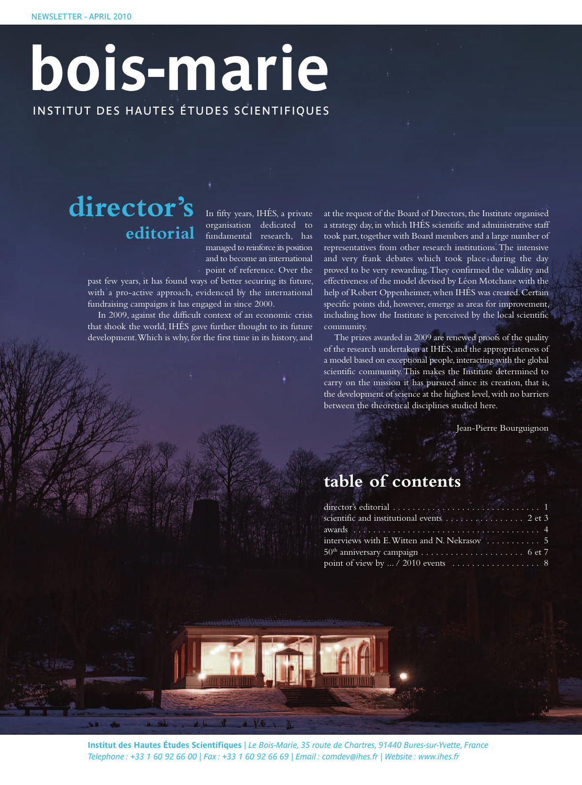# INSTITUT DES HAUTES ÉTUDES SCIENTIFIQUES **bois-marie**

## **director's editorial**

In fifty years, IHÉS, a private organisation dedicated to fundamental research, has managed to reinforce its position and to become an international point of reference. Over the

past few years, it has found ways of better securing its future, with a pro-active approach, evidenced by the international fundraising campaigns it has engaged in since 2000.

In 2009, against the difficult context of an economic crisis that shook the world, IHÉS gave further thought to its future development. Which is why, for the first time in its history, and at the request of the Board of Directors, the Institute organised a strategy day, in which IHÉS scientific and administrative staff took part, together with Board members and a large number of representatives from other research institutions.The intensive and very frank debates which took place during the day proved to be very rewarding.They confirmed the validity and effectiveness of the model devised by Léon Motchane with the help of Robert Oppenheimer, when IHÉS was created. Certain specific points did, however, emerge as areas for improvement, including how the Institute is perceived by the local scientific community.

The prizes awarded in 2009 are renewed proofs of the quality of the research undertaken at IHÉS, and the appropriateness of a model based on exceptional people, interacting with the global scientific community.This makes the Institute determined to carry on the mission it has pursued since its creation, that is, the development of science at the highest level, with no barriers between the theoretical disciplines studied here.

Jean-Pierre Bourguignon

## **table of contents**

| scientific and institutional events 2 et 3  |  |
|---------------------------------------------|--|
|                                             |  |
| interviews with E. Witten and N. Nekrasov 5 |  |
|                                             |  |
|                                             |  |

**Institut des Hautes Études Scientifiques** | *Le Bois-Marie, 35 route de Chartres, 91440 Bures-sur-Yvette, France* Telephone: +33 1 60 92 66 00 | Fax: +33 1 60 92 66 69 | Email: comdev@ihes.fr | Website: www.ihes.fr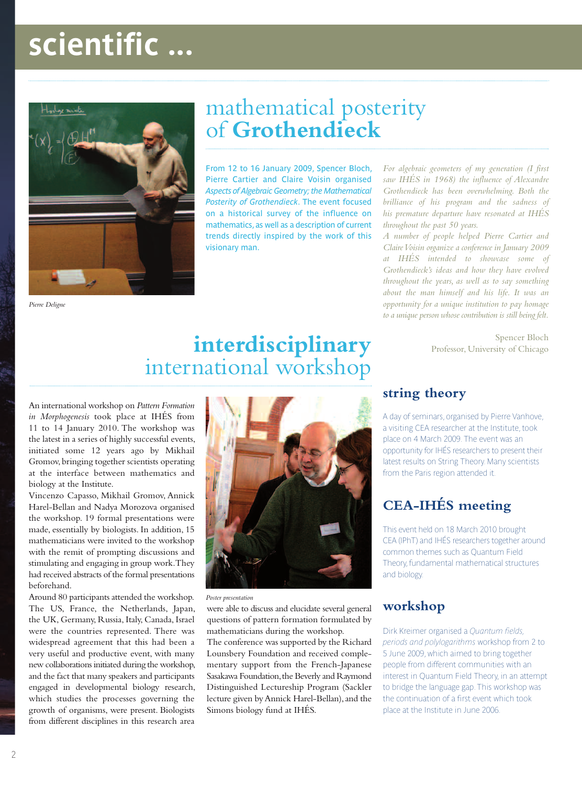# **scientific ...**



## mathematical posterity of **Grothendieck**

From 12 to 16 January 2009, Spencer Bloch, Pierre Cartier and Claire Voisin organised *Aspects of Algebraic Geometry; the Mathematical Posterity of Grothendieck*. The event focused on a historical survey of the influence on mathematics, as well as a description of current trends directly inspired by the work of this visionary man.

*For algebraic geometers of my generation (I first saw IHÉS in 1968) the influence of Alexandre Grothendieck has been overwhelming. Both the brilliance of his program and the sadness of his premature departure have resonated at IHÉS throughout the past 50 years.*

*A number of people helped Pierre Cartier and ClaireVoisin organize a conference in January 2009 at IHÉS intended to showcase some of Grothendieck's ideas and how they have evolved throughout the years, as well as to say something about the man himself and his life. It was an opportunity for a unique institution to pay homage to a unique person whose contribution is still being felt.*

> Spencer Bloch Professor, University of Chicago

*Pierre Deligne*

## **interdisciplinary** international workshop

An international workshop on *Pattern Formation in Morphogenesis* took place at IHÉS from 11 to 14 January 2010. The workshop was the latest in a series of highly successful events, initiated some 12 years ago by Mikhail Gromov, bringing together scientists operating at the interface between mathematics and biology at the Institute.

Vincenzo Capasso, Mikhail Gromov, Annick Harel-Bellan and Nadya Morozova organised the workshop. 19 formal presentations were made, essentially by biologists. In addition, 15 mathematicians were invited to the workshop with the remit of prompting discussions and stimulating and engaging in group work.They had received abstracts of the formal presentations beforehand.

Around 80 participants attended the workshop. The US, France, the Netherlands, Japan, the UK, Germany, Russia, Italy, Canada, Israel were the countries represented. There was widespread agreement that this had been a very useful and productive event, with many new collaborations initiated during the workshop, and the fact that many speakers and participants engaged in developmental biology research, which studies the processes governing the growth of organisms, were present. Biologists from different disciplines in this research area



*Poster presentation*

were able to discuss and elucidate several general questions of pattern formation formulated by mathematicians during the workshop.

The conference was supported by the Richard Lounsbery Foundation and received complementary support from the French-Japanese Sasakawa Foundation,the Beverly and Raymond Distinguished Lectureship Program (Sackler lecture given by Annick Harel-Bellan), and the Simons biology fund at IHÉS.

### **string theory**

A day of seminars, organised by Pierre Vanhove, a visiting CEA researcher at the Institute, took place on 4 March 2009. The event was an opportunity for IHÉS researchers to present their latest results on String Theory. Many scientists from the Paris region attended it.

## **CEA-IHÉS meeting**

This event held on 18 March 2010 brought CEA (IPhT) and IHÉS researchers together around common themes such as Quantum Field Theory, fundamental mathematical structures and biology.

### **workshop**

Dirk Kreimer organised a *Quantum fields, periods and polylogarithms* workshop from 2 to 5 June 2009,which aimed to bring together people from different communities with an interest in Quantum Field Theory, in an attempt to bridge the language gap. This workshop was the continuation of a first event which took place at the Institute in June 2006.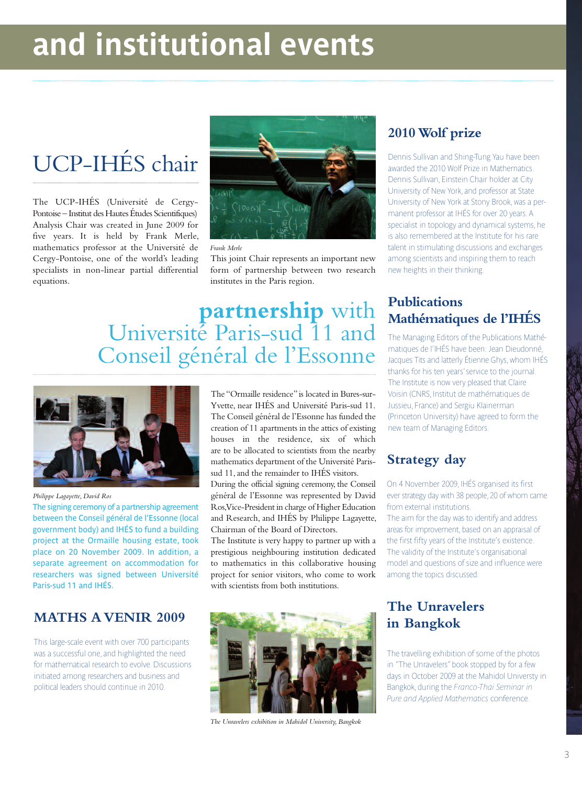# **and institutional events**

# UCP-IHÉS chair

The UCP-IHÉS (Université de Cergy-Pontoise – Institut des Hautes Études Scientifiques) Analysis Chair was created in June 2009 for five years. It is held by Frank Merle, mathematics professor at the Université de Cergy-Pontoise, one of the world's leading specialists in non-linear partial differential equations.



*Frank Merle*

This joint Chair represents an important new form of partnership between two research institutes in the Paris region.

## **partnership** with Université Paris-sud 11 and Conseil général de l'Essonne



*Philippe Lagayette, David Ros*

The signing ceremony of a partnership agreement between the Conseil général de l'Essonne (local government body) and IHÉS to fund a building project at the Ormaille housing estate, took place on 20 November 2009. In addition, a separate agreement on accommodation for researchers was signed between Université Paris-sud 11 and IHÉS.

### **MATHS A VENIR 2009**

This large-scale event with over 700 participants was a successful one, and highlighted the need for mathematical research to evolve. Discussions initiated among researchers and business and political leaders should continue in 2010.

The "Ormaille residence" is located in Bures-sur-Yvette, near IHÉS and Université Paris-sud 11. The Conseil général de l'Essonne has funded the creation of 11 apartments in the attics of existing houses in the residence, six of which are to be allocated to scientists from the nearby mathematics department of the Université Parissud 11, and the remainder to IHÉS visitors.

During the official signing ceremony, the Conseil général de l'Essonne was represented by David Ros,Vice-President in charge of Higher Education and Research, and IHÉS by Philippe Lagayette, Chairman of the Board of Directors.

The Institute is very happy to partner up with a prestigious neighbouring institution dedicated to mathematics in this collaborative housing project for senior visitors, who come to work with scientists from both institutions.



*The Unravelers exhibition in Mahidol University, Bangkok*

### **2010Wolf prize**

Dennis Sullivan and Shing-Tung Yau have been awarded the 2010 Wolf Prize in Mathematics. Dennis Sullivan, Einstein Chair holder at City University of New York, and professor at State University of New York at Stony Brook,was a permanent professor at IHÉS for over 20 years. A specialist in topology and dynamical systems, he is also remembered at the Institute for his rare talent in stimulating discussions and exchanges among scientists and inspiring them to reach new heights in their thinking.

### **Publications Mathématiques de l'IHÉS**

The Managing Editors of the Publications Mathématiques de l'IHÉS have been: Jean Dieudonné, Jacques Tits and latterly Étienne Ghys,whom IHÉS thanks for his ten years'service to the journal. The Institute is now very pleased that Claire Voisin (CNRS, Institut de mathématiques de Jussieu, France) and Sergiu Klainerman (Princeton University) have agreed to form the new team of Managing Editors.

### **Strategy day**

On 4 November 2009, IHÉS organised its first ever strategy day with 38 people,20 of whom came from external institutions.

The aim for the day was to identify and address areas for improvement, based on an appraisal of the first fifty years of the Institute's existence. The validity of the Institute's organisational model and questions of size and influence were among the topics discussed.

### **The Unravelers in Bangkok**

The travelling exhibition of some of the photos in "The Unravelers"book stopped by for a few days in October 2009 at the Mahidol Universty in Bangkok, during the *Franco-Thai Seminar in Pure and Applied Mathematics* conference.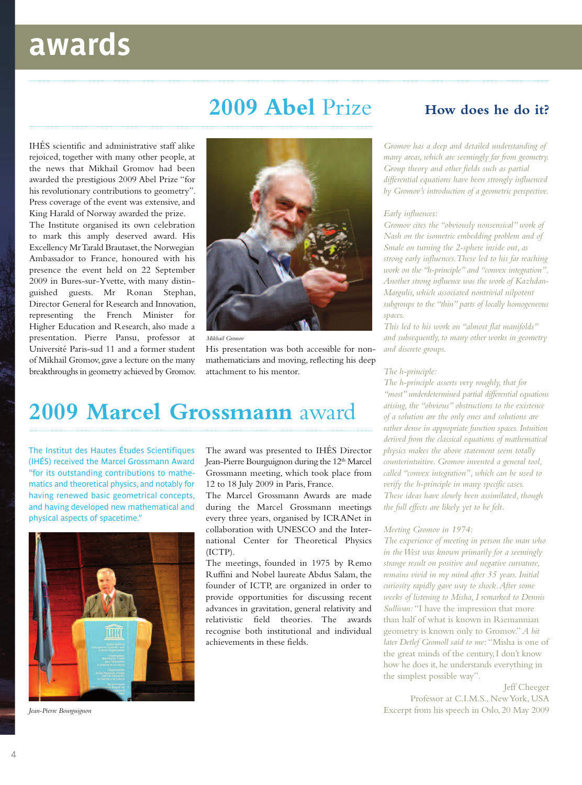# **awards**

## **2009 Abel** Prize

IHÉS scientific and administrative staff alike rejoiced, together with many other people, at the news that Mikhail Gromov had been awarded the prestigious 2009 Abel Prize "for his revolutionary contributions to geometry". Press coverage of the event was extensive, and King Harald of Norway awarded the prize.

The Institute organised its own celebration to mark this amply deserved award. His Excellency Mr Tarald Brautaset, the Norwegian Ambassador to France, honoured with his presence the event held on 22 September 2009 in Bures-sur-Yvette, with many distinguished guests. Mr Ronan Stephan, Director General for Research and Innovation, representing the French Minister for Higher Education and Research, also made a presentation. Pierre Pansu, professor at Université Paris-sud 11 and a former student of Mikhail Gromov, gave a lecture on the many breakthroughs in geometry achieved by Gromov.



*Mikhail Gromov*

His presentation was both accessible for nonmathematicians and moving, reflecting his deep attachment to his mentor.

## **2009 Marcel Grossmann** award

The Institut des Hautes Études Scientifiques (IHÉS) received the Marcel Grossmann Award "for its outstanding contributions to mathematics and theoretical physics, and notably for having renewed basic geometrical concepts, and having developed new mathematical and physical aspects of spacetime."



*Jean-Pierre Bourguignon*

The award was presented to IHÉS Director Jean-Pierre Bourguignon during the 12<sup>th</sup> Marcel Grossmann meeting, which took place from 12 to 18 July 2009 in Paris, France.

The Marcel Grossmann Awards are made during the Marcel Grossmann meetings every three years, organised by ICRANet in collaboration with UNESCO and the International Center for Theoretical Physics  $(ICTP)$ 

The meetings, founded in 1975 by Remo Ruffini and Nobel laureate Abdus Salam, the founder of ICTP, are organized in order to provide opportunities for discussing recent advances in gravitation, general relativity and relativistic field theories. The awards recognise both institutional and individual achievements in these fields.

### **How does he do it?**

*Gromov has a deep and detailed understanding of many areas, which are seemingly far from geometry. Group theory and other fields such as partial differential equations have been strongly influenced by Gromov's introduction of a geometric perspective.*

#### *Early influences:*

*Gromov cites the "obviously nonsensical" work of Nash on the isometric embedding problem and of Smale on turning the 2-sphere inside out, as strong early influences.These led to his far reaching work on the "h-principle" and "convex integration". Another strong influence was the work of Kazhdan-Margulis, which associated nontrivial nilpotent subgroups to the "thin" parts of locally homogeneous spaces.*

*This led to his work on "almost flat manifolds" and subsequently, to many other works in geometry and discrete groups.*

#### *The h-principle:*

*The h-principle asserts very roughly, that for "most" underdetermined partial differential equations arising, the "obvious" obstructions to the existence of a solution are the only ones and solutions are rather dense in appropriate function spaces.Intuition derived from the classical equations of mathematical physics makes the above statement seem totally counterintuitive. Gromov invented a general tool, called "convex integration", which can be used to verify the h-principle in many specific cases. These ideas have slowly been assimilated, though the full effects are likely yet to be felt.*

#### *Meeting Gromov in 1974:*

*The experience of meeting in person the man who in theWest was known primarily for a seemingly strange result on positive and negative curvature, remains vivid in my mind after 35 years. Initial curiosity rapidly gave way to shock.After some weeks of listening to Misha, I remarked to Dennis Sullivan:* "I have the impression that more than half of what is known in Riemannian geometry is known only to Gromov." *A bit later Detlef Gromoll said to me:* "Misha is one of the great minds of the century,I don't know how he does it, he understands everything in the simplest possible way"*.*

Jeff Cheeger Professor at C.I.M.S., NewYork, USA Excerpt from his speech in Oslo, 20 May 2009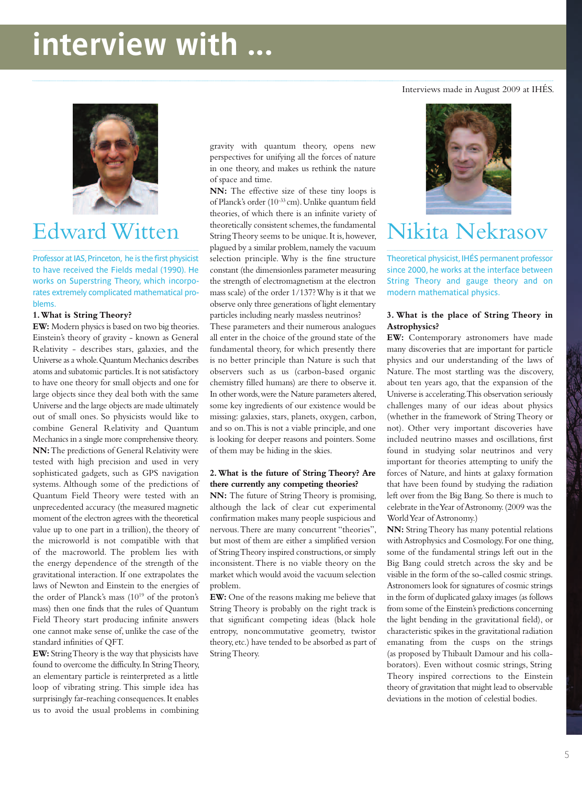# **interview with ...**



Professor at IAS, Princeton, he is the first physicist to have received the Fields medal (1990). He works on Superstring Theory, which incorporates extremely complicated mathematical problems.

#### **1.What is String Theory?**

**EW:** Modern physics is based on two big theories. Einstein's theory of gravity - known as General Relativity - describes stars, galaxies, and the Universe as a whole. Quantum Mechanics describes atoms and subatomic particles.It is not satisfactory to have one theory for small objects and one for large objects since they deal both with the same Universe and the large objects are made ultimately out of small ones. So physicists would like to combine General Relativity and Quantum Mechanics in a single more comprehensive theory. **NN:**The predictions of General Relativity were tested with high precision and used in very sophisticated gadgets, such as GPS navigation systems. Although some of the predictions of Quantum Field Theory were tested with an unprecedented accuracy (the measured magnetic moment of the electron agrees with the theoretical value up to one part in a trillion), the theory of the microworld is not compatible with that of the macroworld. The problem lies with the energy dependence of the strength of the gravitational interaction. If one extrapolates the laws of Newton and Einstein to the energies of the order of Planck's mass  $(10^{19}$  of the proton's mass) then one finds that the rules of Quantum Field Theory start producing infinite answers one cannot make sense of, unlike the case of the standard infinities of QFT.

**EW:** StringTheory is the way that physicists have found to overcome the difficulty.In StringTheory, an elementary particle is reinterpreted as a little loop of vibrating string. This simple idea has surprisingly far-reaching consequences.It enables us to avoid the usual problems in combining gravity with quantum theory, opens new perspectives for unifying all the forces of nature in one theory, and makes us rethink the nature of space and time.

**NN:** The effective size of these tiny loops is of Planck's order (10-33 cm).Unlike quantum field theories, of which there is an infinite variety of theoretically consistent schemes, the fundamental StringTheory seems to be unique.It is, however, plagued by a similar problem, namely the vacuum selection principle. Why is the fine structure constant (the dimensionless parameter measuring the strength of electromagnetism at the electron mass scale) of the order 1/137?Why is it that we observe only three generations of light elementary particles including nearly massless neutrinos? Edward Witten String Theory seems to be unique. It is, however, Nikita Nekrasov

> These parameters and their numerous analogues all enter in the choice of the ground state of the fundamental theory, for which presently there is no better principle than Nature is such that observers such as us (carbon-based organic chemistry filled humans) are there to observe it. In other words, were the Nature parameters altered, some key ingredients of our existence would be missing: galaxies, stars, planets, oxygen, carbon, and so on. This is not a viable principle, and one is looking for deeper reasons and pointers. Some of them may be hiding in the skies.

#### **2.What is the future of String Theory? Are there currently any competing theories?**

**NN:** The future of String Theory is promising, although the lack of clear cut experimental confirmation makes many people suspicious and nervous.There are many concurrent "theories", but most of them are either a simplified version of StringTheory inspired constructions,or simply inconsistent.There is no viable theory on the market which would avoid the vacuum selection problem.

**EW:** One of the reasons making me believe that String Theory is probably on the right track is that significant competing ideas (black hole entropy, noncommutative geometry, twistor theory, etc.) have tended to be absorbed as part of String Theory.

Interviews made in August 2009 at IHÉS.



Theoretical physicist, IHÉS permanent professor since 2000, he works at the interface between String Theory and gauge theory and on modern mathematical physics.

#### **3. What is the place of String Theory in Astrophysics?**

**EW:** Contemporary astronomers have made many discoveries that are important for particle physics and our understanding of the laws of Nature. The most startling was the discovery, about ten years ago, that the expansion of the Universe is accelerating.This observation seriously challenges many of our ideas about physics (whether in the framework of String Theory or not). Other very important discoveries have included neutrino masses and oscillations, first found in studying solar neutrinos and very important for theories attempting to unify the forces of Nature, and hints at galaxy formation that have been found by studying the radiation left over from the Big Bang. So there is much to celebrate in the Year of Astronomy. (2009 was the WorldYear of Astronomy.)

**NN:** StringTheory has many potential relations withAstrophysics and Cosmology.For one thing, some of the fundamental strings left out in the Big Bang could stretch across the sky and be visible in the form of the so-called cosmic strings. Astronomers look for signatures of cosmic strings in the form of duplicated galaxy images (as follows from some of the Einstein's predictions concerning the light bending in the gravitational field), or characteristic spikes in the gravitational radiation emanating from the cusps on the strings (as proposed by Thibault Damour and his collaborators). Even without cosmic strings, String Theory inspired corrections to the Einstein theory of gravitation that might lead to observable deviations in the motion of celestial bodies.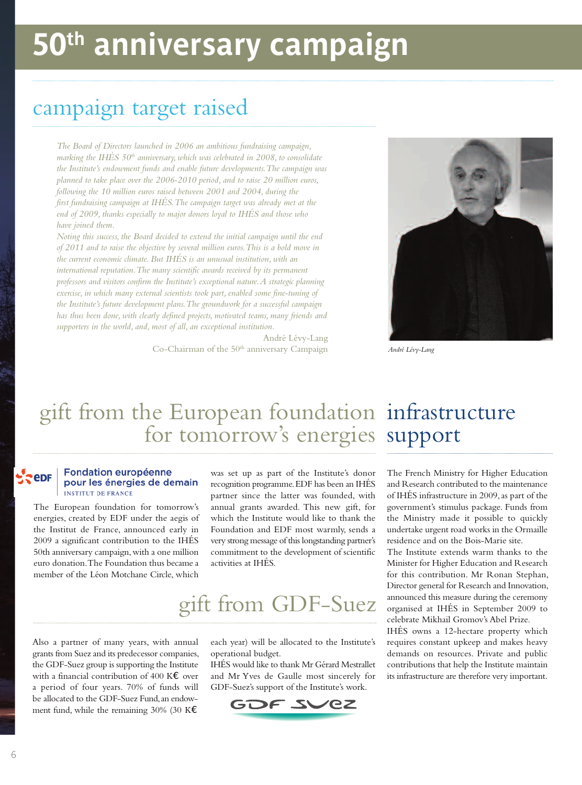# **50th anniversary campaign**

## campaign target raised

*The Board of Directors launched in 2006 an ambitious fundraising campaign, marking the IHÉS 50th anniversary, which was celebrated in 2008, to consolidate the Institute's endowment funds and enable future developments.The campaign was planned to take place over the 2006-2010 period, and to raise 20 million euros, following the 10 million euros raised between 2001 and 2004, during the first fundraising campaign at IHÉS.The campaign target was already met at the end of 2009, thanks especially to major donors loyal to IHÉS and those who have joined them.*

*Noting this success, the Board decided to extend the initial campaign until the end of 2011 and to raise the objective by several million euros.This is a bold move in the current economic climate. But IHÉS is an unusual institution, with an international reputation.The many scientific awards received by its permanent professors and visitors confirm the Institute's exceptional nature.A strategic planning exercise, in which many external scientists took part, enabled some fine-tuning of the Institute's future development plans.The groundwork for a successful campaign has thus been done, with clearly defined projects, motivated teams, many friends and supporters in the world, and, most of all, an exceptional institution.*

> André Lévy-Lang Co-Chairman of the 50<sup>th</sup> anniversary Campaign



*André Lévy-Lang*

## gift from the European foundation infrastructure for tomorrow's energies support

#### Fondation européenne **SPEDE** pour les énergies de demain **INSTITUT DE FRANCE**

The European foundation for tomorrow's energies, created by EDF under the aegis of the Institut de France, announced early in 2009 a significant contribution to the IHÉS 50th anniversary campaign,with a one million euro donation.The Foundation thus became a member of the Léon Motchane Circle, which

was set up as part of the Institute's donor recognition programme.EDF has been an IHÉS partner since the latter was founded, with annual grants awarded. This new gift, for which the Institute would like to thank the Foundation and EDF most warmly, sends a very strong message of this longstanding partner's commitment to the development of scientific activities at IHÉS.

## gift from GDF-Suez

Also a partner of many years, with annual grants from Suez and its predecessor companies, the GDF-Suez group is supporting the Institute with a financial contribution of 400 K€ over a period of four years. 70% of funds will be allocated to the GDF-Suez Fund,an endowment fund, while the remaining 30% (30 K $\epsilon$ 

each year) will be allocated to the Institute's operational budget.

IHÉS would like to thank Mr Gérard Mestrallet and Mr Yves de Gaulle most sincerely for GDF-Suez's support of the Institute's work.



The French Ministry for Higher Education and Research contributed to the maintenance of IHÉS infrastructure in 2009,as part of the government's stimulus package. Funds from the Ministry made it possible to quickly undertake urgent road works in the Ormaille residence and on the Bois-Marie site.

The Institute extends warm thanks to the Minister for Higher Education and Research for this contribution. Mr Ronan Stephan, Director general for Research and Innovation, announced this measure during the ceremony organised at IHÉS in September 2009 to celebrate Mikhail Gromov's Abel Prize.

IHÉS owns a 12-hectare property which requires constant upkeep and makes heavy demands on resources. Private and public contributions that help the Institute maintain its infrastructure are therefore very important.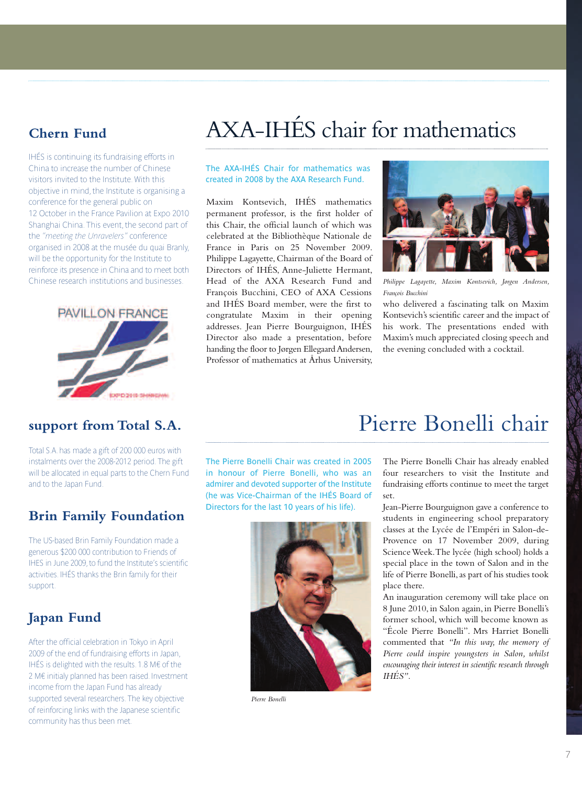### **Chern Fund**

IHÉS is continuing its fundraising efforts in China to increase the number of Chinese visitors invited to the Institute. With this objective in mind,the Institute is organising a conference for the general public on 12 October in the France Pavilion at Expo 2010 Shanghai China. This event, the second part of the *"meeting the Unravelers"* conference organised in 2008 at the musée du quai Branly, will be the opportunity for the Institute to reinforce its presence in China and to meet both Chinese research institutions and businesses.



# AXA-IHÉS chair for mathematics

#### The AXA-IHÉS Chair for mathematics was created in 2008 by the AXA Research Fund.

Maxim Kontsevich, IHÉS mathematics permanent professor, is the first holder of this Chair, the official launch of which was celebrated at the Bibliothèque Nationale de France in Paris on 25 November 2009. Philippe Lagayette, Chairman of the Board of Directors of IHÉS, Anne-Juliette Hermant, Head of the AXA Research Fund and François Bucchini, CEO of AXA Cessions and IHÉS Board member, were the first to congratulate Maxim in their opening addresses. Jean Pierre Bourguignon, IHÉS Director also made a presentation, before handing the floor to Jørgen Ellegaard Andersen, Professor of mathematics at Århus University,



*Philippe Lagayette, Maxim Kontsevich, Jørgen Andersen, François Bucchini*

who delivered a fascinating talk on Maxim Kontsevich's scientific career and the impact of his work. The presentations ended with Maxim's much appreciated closing speech and the evening concluded with a cocktail.

### **support from Total S.A.**

Total S.A. has made a gift of 200 000 euros with instalments over the 2008-2012 period. The gift will be allocated in equal parts to the Chern Fund and to the Japan Fund.

### **Brin Family Foundation**

The US-based Brin Family Foundation made a generous \$200 000 contribution to Friends of IHES in June 2009,to fund the Institute's scientific activities. IHÉS thanks the Brin family for their support.

## **Japan Fund**

After the official celebration in Tokyo in April 2009 of the end of fundraising efforts in Japan, IHÉS is delighted with the results. 1.8 M $\epsilon$  of the  $2 M \epsilon$  initialy planned has been raised. Investment income from the Japan Fund has already supported several researchers. The key objective of reinforcing links with the Japanese scientific community has thus been met.

The Pierre Bonelli Chair was created in 2005 in honour of Pierre Bonelli, who was an admirer and devoted supporter of the Institute (he was Vice-Chairman of the IHÉS Board of Directors for the last 10 years of his life).



*Pierre Bonelli*

## Pierre Bonelli chair

The Pierre Bonelli Chair has already enabled four researchers to visit the Institute and fundraising efforts continue to meet the target set.

Jean-Pierre Bourguignon gave a conference to students in engineering school preparatory classes at the Lycée de l'Empéri in Salon-de-Provence on 17 November 2009, during ScienceWeek.The lycée (high school) holds a special place in the town of Salon and in the life of Pierre Bonelli,as part of his studies took place there.

An inauguration ceremony will take place on 8 June 2010, in Salon again, in Pierre Bonelli's former school, which will become known as "École Pierre Bonelli". Mrs Harriet Bonelli commented that *"In this way, the memory of Pierre could inspire youngsters in Salon, whilst encouraging their interest in scientific research through IHÉS"*.